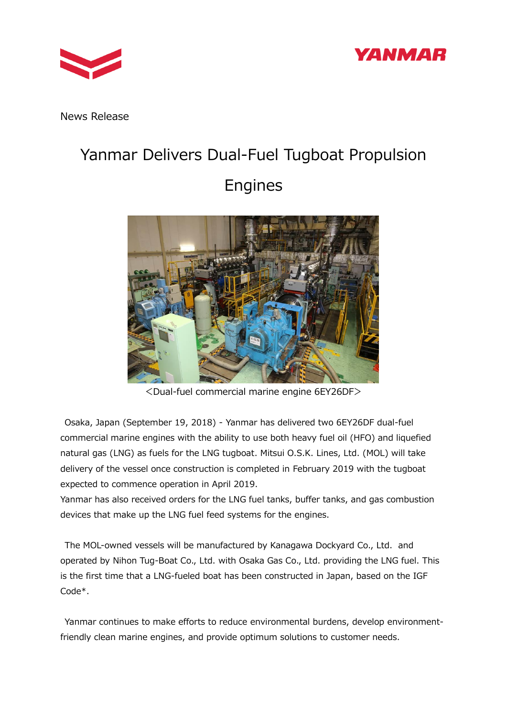



News Release

## Yanmar Delivers Dual-Fuel Tugboat Propulsion Engines



<Dual-fuel commercial marine engine 6EY26DF>

Osaka, Japan (September 19, 2018) - Yanmar has delivered two 6EY26DF dual-fuel commercial marine engines with the ability to use both heavy fuel oil (HFO) and liquefied natural gas (LNG) as fuels for the LNG tugboat. Mitsui O.S.K. Lines, Ltd. (MOL) will take delivery of the vessel once construction is completed in February 2019 with the tugboat expected to commence operation in April 2019.

Yanmar has also received orders for the LNG fuel tanks, buffer tanks, and gas combustion devices that make up the LNG fuel feed systems for the engines.

The MOL-owned vessels will be manufactured by Kanagawa Dockyard Co., Ltd. and operated by Nihon Tug-Boat Co., Ltd. with Osaka Gas Co., Ltd. providing the LNG fuel. This is the first time that a LNG-fueled boat has been constructed in Japan, based on the IGF Code\*.

Yanmar continues to make efforts to reduce environmental burdens, develop environmentfriendly clean marine engines, and provide optimum solutions to customer needs.